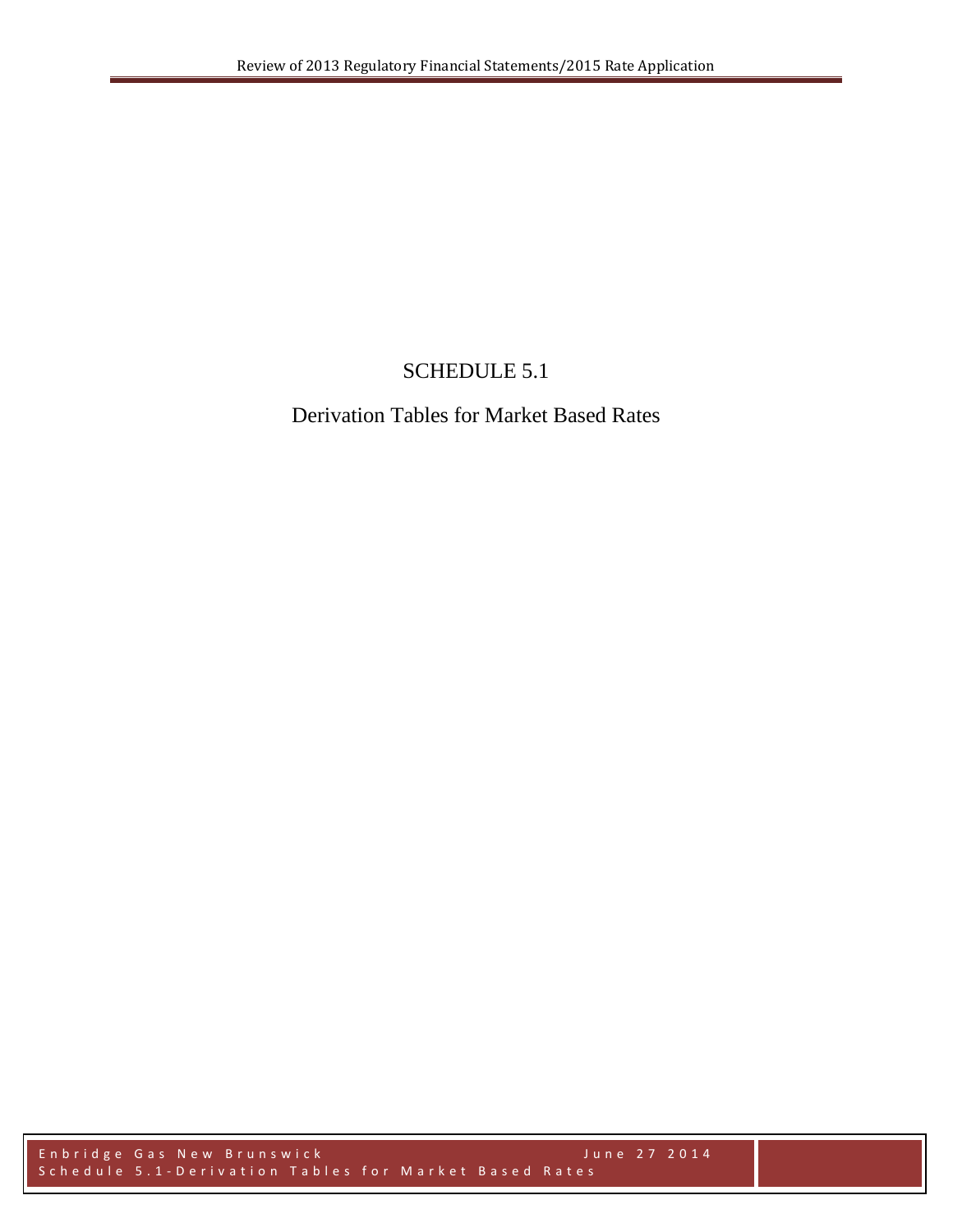## SCHEDULE 5.1

## Derivation Tables for Market Based Rates